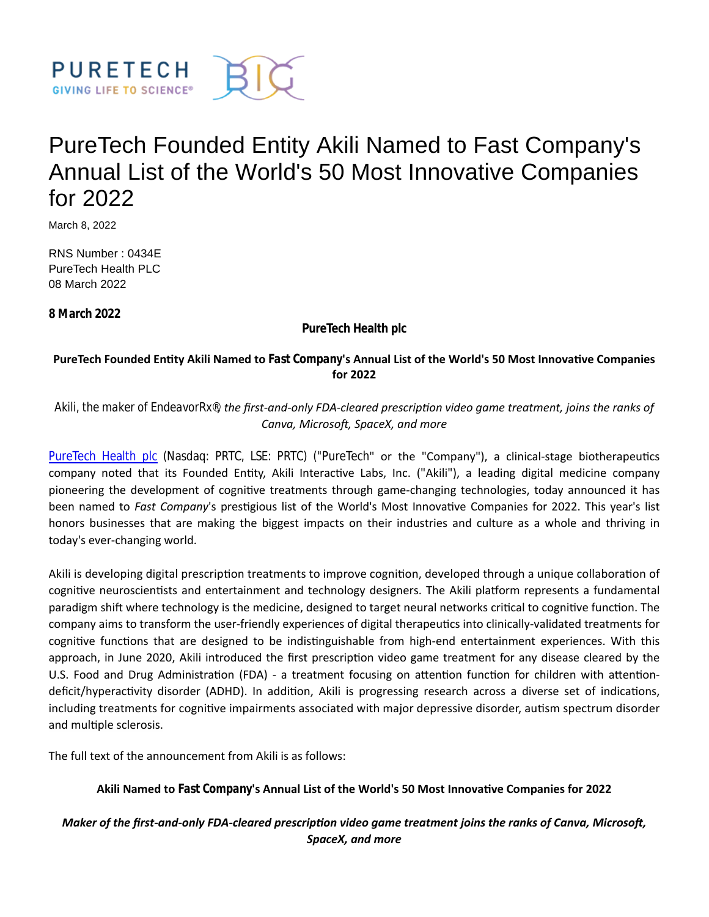

# PureTech Founded Entity Akili Named to Fast Company's Annual List of the World's 50 Most Innovative Companies for 2022

March 8, 2022

RNS Number : 0434E PureTech Health PLC 08 March 2022

**8 March 2022**

**PureTech Health plc**

## **PureTech Founded EnƟty Akili Named to** *Fast Company***'s Annual List of the World's 50 Most InnovaƟve Companies for 2022**

*Akili, the maker of EndeavorRx*®*, the first-and-only FDA-cleared prescripƟon video game treatment, joins the ranks of Canva, Microsoft, SpaceX, and more* 

[PureTech Health plc](https://puretechhealth.com/) (Nasdaq: PRTC, LSE: PRTC) ("PureTech" or the "Company"), a clinical-stage biotherapeutics company noted that its Founded Entity, Akili Interactive Labs, Inc. ("Akili"), a leading digital medicine company pioneering the development of cognitive treatments through game-changing technologies, today announced it has been named to *Fast Company's* prestigious list of the World's Most Innovative Companies for 2022. This year's list honors businesses that are making the biggest impacts on their industries and culture as a whole and thriving in today's ever-changing world.

Akili is developing digital prescription treatments to improve cognition, developed through a unique collaboration of cognitive neuroscientists and entertainment and technology designers. The Akili platform represents a fundamental paradigm shift where technology is the medicine, designed to target neural networks critical to cognitive function. The company aims to transform the user-friendly experiences of digital therapeutics into clinically-validated treatments for cognitive functions that are designed to be indistinguishable from high-end entertainment experiences. With this approach, in June 2020, Akili introduced the first prescription video game treatment for any disease cleared by the U.S. Food and Drug Administration (FDA) - a treatment focusing on attention function for children with attentiondeficit/hyperactivity disorder (ADHD). In addition, Akili is progressing research across a diverse set of indications, including treatments for cognitive impairments associated with major depressive disorder, autism spectrum disorder and multiple sclerosis.

The full text of the announcement from Akili is as follows:

Akili Named to *Fast Company*'s Annual List of the World's 50 Most Innovative Companies for 2022

# *Maker of the first-and-only FDA-cleared prescription video game treatment joins the ranks of Canva, Microsoft, SpaceX, and more*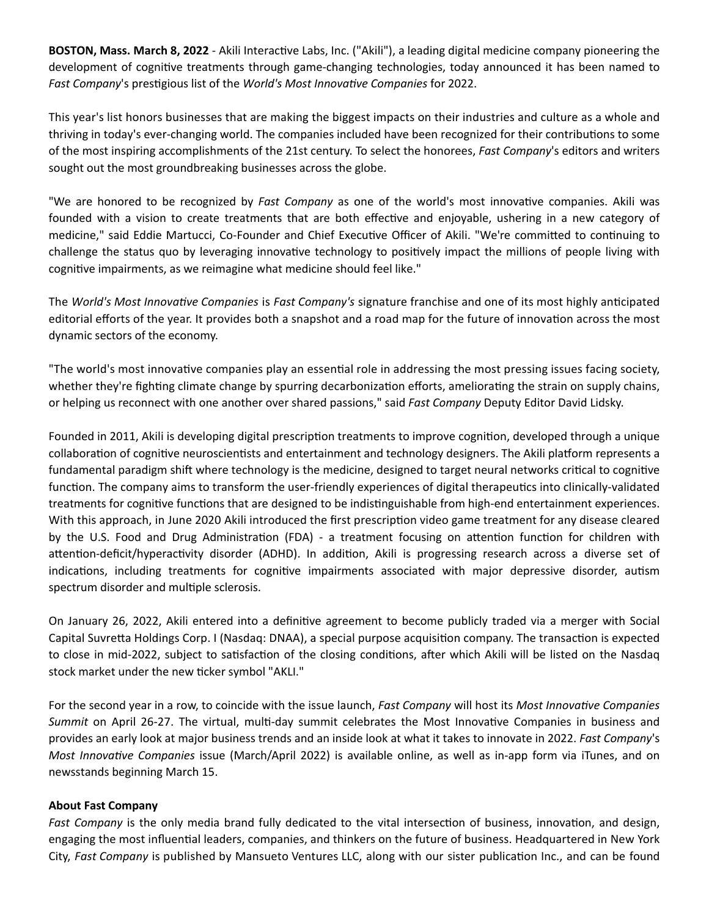BOSTON, Mass. March 8, 2022 - Akili Interactive Labs, Inc. ("Akili"), a leading digital medicine company pioneering the development of cognitive treatments through game-changing technologies, today announced it has been named to Fast Company's prestigious list of the *World's Most Innovative Companies* for 2022.

This year's list honors businesses that are making the biggest impacts on their industries and culture as a whole and thriving in today's ever-changing world. The companies included have been recognized for their contributions to some of the most inspiring accomplishments of the 21st century. To select the honorees, *Fast Company*'s editors and writers sought out the most groundbreaking businesses across the globe.

"We are honored to be recognized by *Fast Company* as one of the world's most innovative companies. Akili was founded with a vision to create treatments that are both effective and enjoyable, ushering in a new category of medicine," said Eddie Martucci, Co-Founder and Chief Executive Officer of Akili. "We're committed to continuing to challenge the status quo by leveraging innovative technology to positively impact the millions of people living with cognitive impairments, as we reimagine what medicine should feel like."

The *World's Most InnovaƟve Companies* is *Fast Company's* signature franchise and one of its most highly anƟcipated editorial efforts of the year. It provides both a snapshot and a road map for the future of innovation across the most dynamic sectors of the economy.

"The world's most innovative companies play an essential role in addressing the most pressing issues facing society, whether they're fighting climate change by spurring decarbonization efforts, ameliorating the strain on supply chains, or helping us reconnect with one another over shared passions," said *Fast Company* Deputy Editor David Lidsky.

Founded in 2011, Akili is developing digital prescription treatments to improve cognition, developed through a unique collaboration of cognitive neuroscientists and entertainment and technology designers. The Akili platform represents a fundamental paradigm shift where technology is the medicine, designed to target neural networks critical to cognitive function. The company aims to transform the user-friendly experiences of digital therapeutics into clinically-validated treatments for cognitive functions that are designed to be indistinguishable from high-end entertainment experiences. With this approach, in June 2020 Akili introduced the first prescription video game treatment for any disease cleared by the U.S. Food and Drug Administration (FDA) - a treatment focusing on attention function for children with attention-deficit/hyperactivity disorder (ADHD). In addition, Akili is progressing research across a diverse set of indications, including treatments for cognitive impairments associated with major depressive disorder, autism spectrum disorder and multiple sclerosis.

On January 26, 2022, Akili entered into a definitive agreement to become publicly traded via a merger with Social Capital Suvretta Holdings Corp. I (Nasdaq: DNAA), a special purpose acquisition company. The transaction is expected to close in mid-2022, subject to satisfaction of the closing conditions, after which Akili will be listed on the Nasdaq stock market under the new ticker symbol "AKLI."

For the second year in a row, to coincide with the issue launch, *Fast Company* will host its *Most Innovative Companies Summit* on April 26-27. The virtual, multi-day summit celebrates the Most Innovative Companies in business and provides an early look at major business trends and an inside look at what it takes to innovate in 2022. *Fast Company*'s *Most InnovaƟve Companies* issue (March/April 2022) is available online, as well as in-app form via iTunes, and on newsstands beginning March 15.

## **About Fast Company**

*Fast Company* is the only media brand fully dedicated to the vital intersection of business, innovation, and design, engaging the most influential leaders, companies, and thinkers on the future of business. Headquartered in New York City, Fast Company is published by Mansueto Ventures LLC, along with our sister publication Inc., and can be found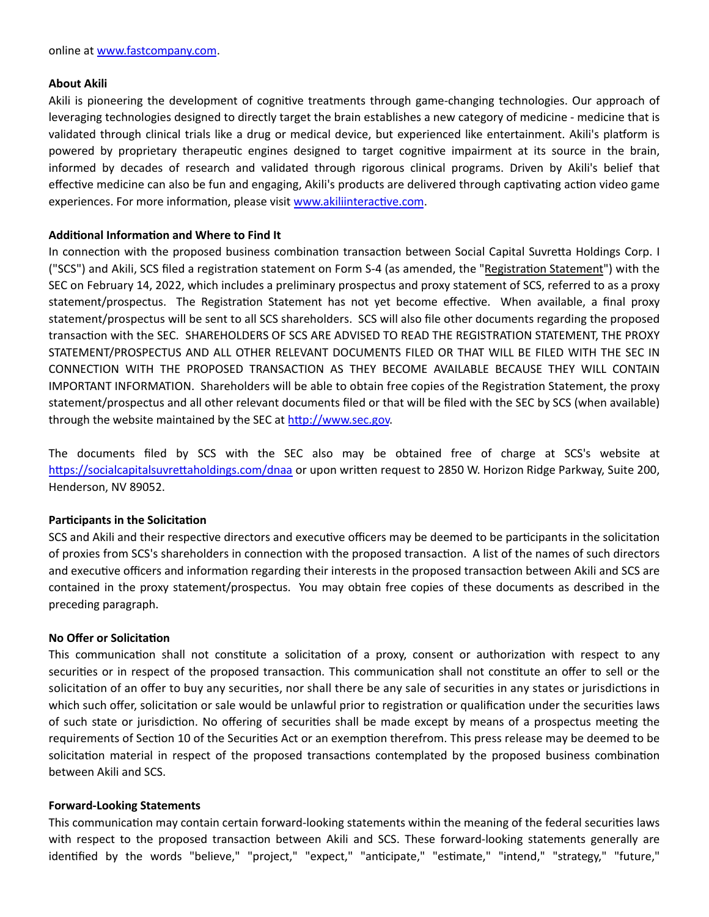#### **About Akili**

Akili is pioneering the development of cognitive treatments through game-changing technologies. Our approach of leveraging technologies designed to directly target the brain establishes a new category of medicine - medicine that is validated through clinical trials like a drug or medical device, but experienced like entertainment. Akili's platform is powered by proprietary therapeutic engines designed to target cognitive impairment at its source in the brain, informed by decades of research and validated through rigorous clinical programs. Driven by Akili's belief that effective medicine can also be fun and engaging, Akili's products are delivered through captivating action video game experiences. For more information, please visit www.akiliinteractive.com.

## **AddiƟonal InformaƟon and Where to Find It**

In connection with the proposed business combination transaction between Social Capital Suvretta Holdings Corp. I ("SCS") and Akili, SCS filed a registration statement on Form S-4 (as amended, the "Registration Statement") with the SEC on February 14, 2022, which includes a preliminary prospectus and proxy statement of SCS, referred to as a proxy statement/prospectus. The Registration Statement has not yet become effective. When available, a final proxy statement/prospectus will be sent to all SCS shareholders. SCS will also file other documents regarding the proposed transacƟon with the SEC. SHAREHOLDERS OF SCS ARE ADVISED TO READ THE REGISTRATION STATEMENT, THE PROXY STATEMENT/PROSPECTUS AND ALL OTHER RELEVANT DOCUMENTS FILED OR THAT WILL BE FILED WITH THE SEC IN CONNECTION WITH THE PROPOSED TRANSACTION AS THEY BECOME AVAILABLE BECAUSE THEY WILL CONTAIN IMPORTANT INFORMATION. Shareholders will be able to obtain free copies of the Registration Statement, the proxy statement/prospectus and all other relevant documents filed or that will be filed with the SEC by SCS (when available) through the website maintained by the SEC at http://www.sec.gov.

The documents filed by SCS with the SEC also may be obtained free of charge at SCS's website at https://socialcapitalsuvrettaholdings.com/dnaa or upon written request to 2850 W. Horizon Ridge Parkway, Suite 200, Henderson, NV 89052.

## **Participants in the Solicitation**

SCS and Akili and their respective directors and executive officers may be deemed to be participants in the solicitation of proxies from SCS's shareholders in connection with the proposed transaction. A list of the names of such directors and executive officers and information regarding their interests in the proposed transaction between Akili and SCS are contained in the proxy statement/prospectus. You may obtain free copies of these documents as described in the preceding paragraph.

## **No Offer or Solicitation**

This communication shall not constitute a solicitation of a proxy, consent or authorization with respect to any securities or in respect of the proposed transaction. This communication shall not constitute an offer to sell or the solicitation of an offer to buy any securities, nor shall there be any sale of securities in any states or jurisdictions in which such offer, solicitation or sale would be unlawful prior to registration or qualification under the securities laws of such state or jurisdiction. No offering of securities shall be made except by means of a prospectus meeting the requirements of Section 10 of the Securities Act or an exemption therefrom. This press release may be deemed to be solicitation material in respect of the proposed transactions contemplated by the proposed business combination between Akili and SCS.

#### **Forward-Looking Statements**

This communication may contain certain forward-looking statements within the meaning of the federal securities laws with respect to the proposed transaction between Akili and SCS. These forward-looking statements generally are identified by the words "believe," "project," "expect," "anticipate," "estimate," "intend," "strategy," "future,"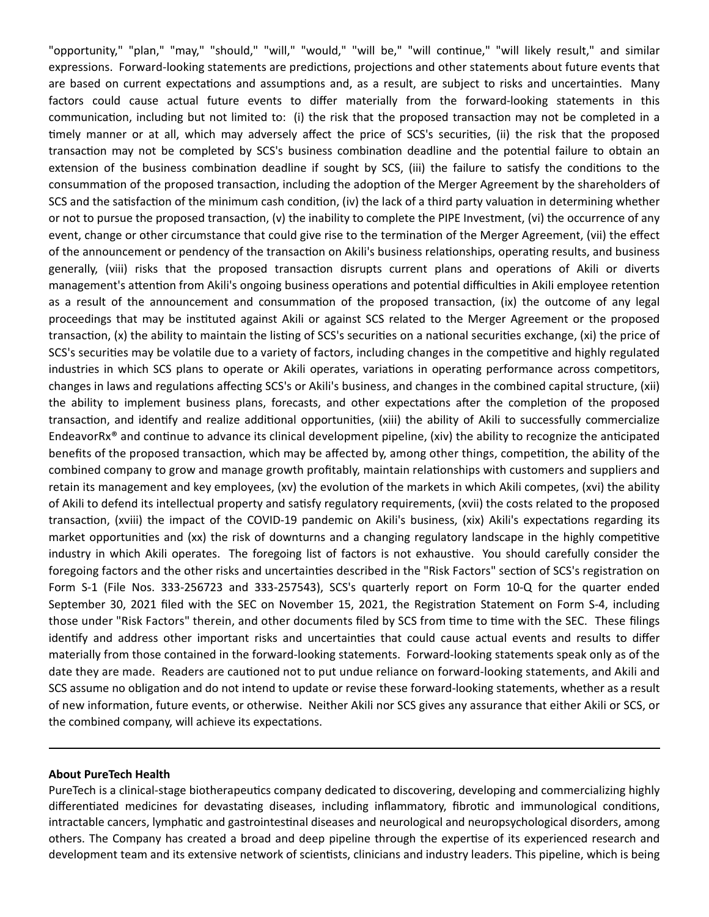"opportunity," "plan," "may," "should," "will," "would," "will be," "will continue," "will likely result," and similar expressions. Forward-looking statements are predictions, projections and other statements about future events that are based on current expectations and assumptions and, as a result, are subject to risks and uncertainties. Many factors could cause actual future events to differ materially from the forward-looking statements in this communication, including but not limited to: (i) the risk that the proposed transaction may not be completed in a timely manner or at all, which may adversely affect the price of SCS's securities, (ii) the risk that the proposed transaction may not be completed by SCS's business combination deadline and the potential failure to obtain an extension of the business combination deadline if sought by SCS, (iii) the failure to satisfy the conditions to the consummation of the proposed transaction, including the adoption of the Merger Agreement by the shareholders of SCS and the satisfaction of the minimum cash condition, (iv) the lack of a third party valuation in determining whether or not to pursue the proposed transaction,  $(v)$  the inability to complete the PIPE Investment,  $(vi)$  the occurrence of any event, change or other circumstance that could give rise to the termination of the Merger Agreement, (vii) the effect of the announcement or pendency of the transaction on Akili's business relationships, operating results, and business generally, (viii) risks that the proposed transaction disrupts current plans and operations of Akili or diverts management's attention from Akili's ongoing business operations and potential difficulties in Akili employee retention as a result of the announcement and consummation of the proposed transaction, (ix) the outcome of any legal proceedings that may be instituted against Akili or against SCS related to the Merger Agreement or the proposed transaction, (x) the ability to maintain the listing of SCS's securities on a national securities exchange, (xi) the price of SCS's securities may be volatile due to a variety of factors, including changes in the competitive and highly regulated industries in which SCS plans to operate or Akili operates, variations in operating performance across competitors, changes in laws and regulations affecting SCS's or Akili's business, and changes in the combined capital structure, (xii) the ability to implement business plans, forecasts, and other expectations after the completion of the proposed transaction, and identify and realize additional opportunities, (xiii) the ability of Akili to successfully commercialize EndeavorRx<sup>®</sup> and continue to advance its clinical development pipeline, (xiv) the ability to recognize the anticipated benefits of the proposed transaction, which may be affected by, among other things, competition, the ability of the combined company to grow and manage growth profitably, maintain relationships with customers and suppliers and retain its management and key employees, (xv) the evolution of the markets in which Akili competes, (xvi) the ability of Akili to defend its intellectual property and satisfy regulatory requirements, (xvii) the costs related to the proposed transaction, (xviii) the impact of the COVID-19 pandemic on Akili's business, (xix) Akili's expectations regarding its market opportunities and (xx) the risk of downturns and a changing regulatory landscape in the highly competitive industry in which Akili operates. The foregoing list of factors is not exhaustive. You should carefully consider the foregoing factors and the other risks and uncertainties described in the "Risk Factors" section of SCS's registration on Form S-1 (File Nos. 333-256723 and 333-257543), SCS's quarterly report on Form 10-Q for the quarter ended September 30, 2021 filed with the SEC on November 15, 2021, the Registration Statement on Form S-4, including those under "Risk Factors" therein, and other documents filed by SCS from time to time with the SEC. These filings identify and address other important risks and uncertainties that could cause actual events and results to differ materially from those contained in the forward-looking statements. Forward-looking statements speak only as of the date they are made. Readers are cautioned not to put undue reliance on forward-looking statements, and Akili and SCS assume no obligation and do not intend to update or revise these forward-looking statements, whether as a result of new information, future events, or otherwise. Neither Akili nor SCS gives any assurance that either Akili or SCS, or the combined company, will achieve its expectations.

#### **About PureTech Health**

PureTech is a clinical-stage biotherapeutics company dedicated to discovering, developing and commercializing highly differentiated medicines for devastating diseases, including inflammatory, fibrotic and immunological conditions, intractable cancers, lymphatic and gastrointestinal diseases and neurological and neuropsychological disorders, among others. The Company has created a broad and deep pipeline through the expertise of its experienced research and development team and its extensive network of scientists, clinicians and industry leaders. This pipeline, which is being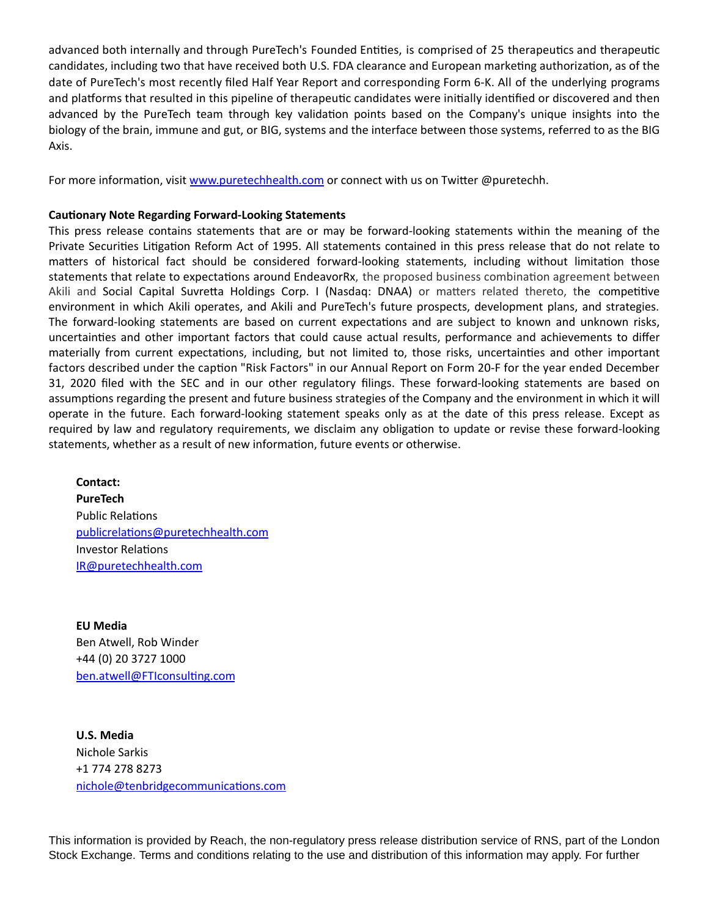advanced both internally and through PureTech's Founded Entities, is comprised of 25 therapeutics and therapeutic candidates, including two that have received both U.S. FDA clearance and European marketing authorization, as of the date of PureTech's most recently filed Half Year Report and corresponding Form 6-K. All of the underlying programs and platforms that resulted in this pipeline of therapeutic candidates were initially identified or discovered and then advanced by the PureTech team through key validation points based on the Company's unique insights into the biology of the brain, immune and gut, or BIG, systems and the interface between those systems, referred to as the BIG Axis.

For more information, visit [www.puretechhealth.com o](http://www.puretechhealth.com/)r connect with us on Twitter @puretechh.

#### **Cautionary Note Regarding Forward-Looking Statements**

This press release contains statements that are or may be forward-looking statements within the meaning of the Private Securities Litigation Reform Act of 1995. All statements contained in this press release that do not relate to matters of historical fact should be considered forward-looking statements, including without limitation those statements that relate to expectations around EndeavorRx, the proposed business combination agreement between Akili and Social Capital Suvretta Holdings Corp. I (Nasdaq: DNAA) or matters related thereto, the competitive environment in which Akili operates, and Akili and PureTech's future prospects, development plans, and strategies. The forward-looking statements are based on current expectations and are subject to known and unknown risks, uncertainties and other important factors that could cause actual results, performance and achievements to differ materially from current expectations, including, but not limited to, those risks, uncertainties and other important factors described under the caption "Risk Factors" in our Annual Report on Form 20-F for the year ended December 31, 2020 filed with the SEC and in our other regulatory filings. These forward-looking statements are based on assumptions regarding the present and future business strategies of the Company and the environment in which it will operate in the future. Each forward-looking statement speaks only as at the date of this press release. Except as required by law and regulatory requirements, we disclaim any obligation to update or revise these forward-looking statements, whether as a result of new information, future events or otherwise.

**Contact: PureTech** Public Relations [publicrelaƟons@puretechhealth.com](mailto:publicrelations@puretechhealth.com) Investor Relations [IR@puretechhealth.com](mailto:IR@puretechhealth.com)

**EU Media** Ben Atwell, Rob Winder +44 (0) 20 3727 1000 ben.atwell@FTIconsulting.com

**U.S. Media** Nichole Sarkis +1 774 278 8273 nichole@tenbridgecommunications.com

This information is provided by Reach, the non-regulatory press release distribution service of RNS, part of the London Stock Exchange. Terms and conditions relating to the use and distribution of this information may apply. For further